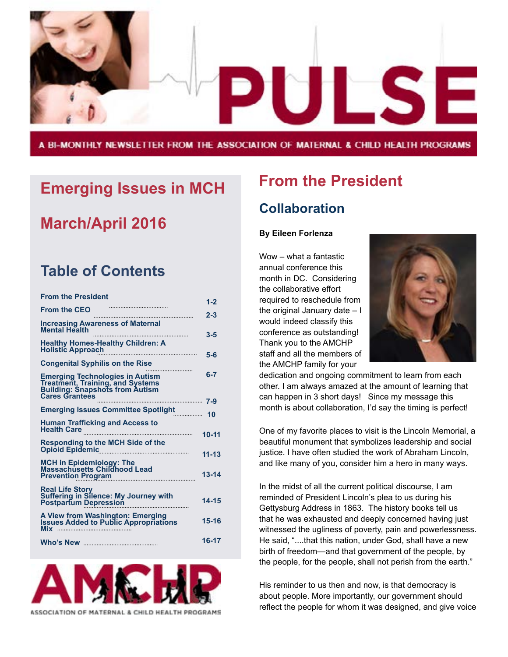

A BI-MONTHLY NEWSLETTER FROM THE ASSOCIATION OF MATERNAL & CHILD HEALTH PROGRAMS

### **Emerging Issues in MCH**

### **March/April 2016**

### **Table of Contents**

| <b>From the President</b>                                                                                                                     |           |
|-----------------------------------------------------------------------------------------------------------------------------------------------|-----------|
| From the CEO<br>The CEO                                                                                                                       | $1 - 2$   |
|                                                                                                                                               | $2 - 3$   |
| <b>Increasing Awareness of Maternal</b><br><b>Mental Health</b>                                                                               | $3 - 5$   |
| <b>Healthy Homes-Healthy Children: A</b><br><b>Holistic Approach</b>                                                                          | $5-6$     |
| <b>Congenital Syphilis on the Rise</b>                                                                                                        |           |
| <b>Emerging Technologies in Autism</b><br><b>Treatment, Training, and Systems</b><br>Building: Snapshots from Autism<br><b>Cares Grantees</b> | $6 - 7$   |
| <b>Emerging Issues Committee Spotlight</b>                                                                                                    |           |
| <b>Human Trafficking and Access to</b><br>Health Care <b>Communication of the Care</b>                                                        | $10 - 11$ |
| Responding to the MCH Side of the<br>Opioid Epidemic 1994                                                                                     | $11 - 13$ |
| MCH in Epidemiology: The<br>Massachusetts Childhood Lead<br>Prevention Program                                                                | $13 - 14$ |
| <b>Real Life Story</b><br><b>Suffering in Silence: My Journey with<br/>Postpartum Depression</b>                                              | $14 - 15$ |
| A View from Washington: Emerging<br>Issues Added to Public Appropriations                                                                     | 15-16     |
|                                                                                                                                               | 16-17     |



ASSOCIATION OF MATERNAL & CHILD HEALTH PROGRAMS

## **From the President**

#### **Collaboration**

#### **By Eileen Forlenza**

Wow – what a fantastic annual conference this month in DC. Considering the collaborative effort required to reschedule from the original January date – I would indeed classify this conference as outstanding! Thank you to the AMCHP staff and all the members of the AMCHP family for your



dedication and ongoing commitment to learn from each other. I am always amazed at the amount of learning that can happen in 3 short days! Since my message this month is about collaboration, I'd say the timing is perfect!

One of my favorite places to visit is the Lincoln Memorial, a beautiful monument that symbolizes leadership and social justice. I have often studied the work of Abraham Lincoln, and like many of you, consider him a hero in many ways.

In the midst of all the current political discourse, I am reminded of President Lincoln's plea to us during his Gettysburg Address in 1863. The history books tell us that he was exhausted and deeply concerned having just witnessed the ugliness of poverty, pain and powerlessness. He said, "....that this nation, under God, shall have a new birth of freedom—and that government of the people, by the people, for the people, shall not perish from the earth."

His reminder to us then and now, is that democracy is about people. More importantly, our government should reflect the people for whom it was designed, and give voice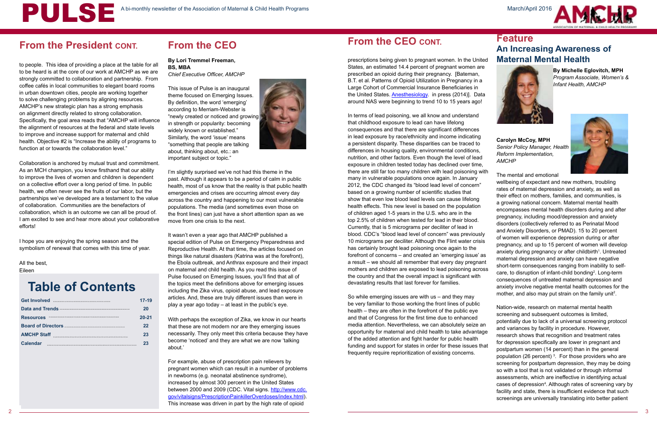

to people. This idea of providing a place at the table for all to be heard is at the core of our work at AMCHP as we are strongly committed to collaboration and partnership. From coffee cafés in local communities to elegant board rooms in urban downtown cities, people are working together to solve challenging problems by aligning resources. AMCHP's new strategic plan has a strong emphasis on alignment directly related to strong collaboration. Specifically, the goal area reads that "AMCHP will influence the alignment of resources at the federal and state levels to improve and increase support for maternal and child health. Objective #2 is "Increase the ability of programs to function at or towards the collaboration level."

Collaboration is anchored by mutual trust and commitment. As an MCH champion, you know firsthand that our ability to improve the lives of women and children is dependent on a collective effort over a long period of time. In public health, we often never see the fruits of our labor, but the partnerships we've developed are a testament to the value of collaboration. Communities are the benefactors of collaboration, which is an outcome we can all be proud of. I am excited to see and hear more about your collaborative efforts!

I hope you are enjoying the spring season and the symbolism of renewal that comes with this time of year.

All the best,

Eileen

### **From the CEO**

#### **By Lori Tremmel Freeman, BS, MBA**  *Chief Executive Officer, AMCHP*

This issue of Pulse is an inaugural theme focused on Emerging Issues. By definition, the word 'emerging' according to Merriam-Webster is "newly created or noticed and growing in strength or popularity: becoming widely known or established." Similarly, the word 'issue' means "something that people are talking about, thinking about, etc.: an important subject or topic."



In terms of lead poisoning, we all know and understand that childhood exposure to lead can have lifelong consequences and that there are significant differences in lead exposure by race/ethnicity and income indicating a persistent disparity. These disparities can be traced to differences in housing quality, environmental conditions, nutrition, and other factors. Even though the level of lead exposure in children tested today has declined over time, there are still far too many children with lead poisoning with many in vulnerable populations once again. In January 2012, the CDC changed its "blood lead level of concern" based on a growing number of scientific studies that show that even low blood lead levels can cause lifelong health effects. This new level is based on the population of children aged 1-5 years in the U.S. who are in the top 2.5% of children when tested for lead in their blood. Currently, that is 5 micrograms per deciliter of lead in blood. CDC's "blood lead level of concern" was previously 10 micrograms per deciliter. Although the Flint water crisis has certainly brought lead poisoning once again to the forefront of concerns – and created an 'emerging issue' as a result – we should all remember that every day pregnant mothers and children are exposed to lead poisoning across the country and that the overall impact is significant with devastating results that last forever for families. **Carolyn McCoy, MPH** *Senior Policy Manager, Health Reform Implementation, AMCHP* The mental and emotional wellbeing of expectant and new mothers, troubling rates of maternal depression and anxiety, as well as their effect on mothers, families, and communities, is a growing national concern. Maternal mental health encompasses mental health disorders during and after pregnancy, including mood/depression and anxiety disorders (collectively referred to as Perinatal Mood and Anxiety Disorders, or PMAD). 15 to 20 percent of women will experience depression during or after pregnancy, and up to 15 percent of women will develop anxiety during pregnancy or after childbirth<sup>1</sup>. Untreated maternal depression and anxiety can have negative short-term consequences ranging from inability to selfcare, to disruption of infant-child bonding<sup>2</sup>. Long-term consequences of untreated maternal depression and anxiety involve negative mental health outcomes for the mother, and also may put strain on the family unit<sup>2</sup>.

I'm slightly surprised we've not had this theme in the past. Although it appears to be a period of calm in public health, most of us know that the reality is that public health emergencies and crises are occurring almost every day across the country and happening to our most vulnerable populations. The media (and sometimes even those on the front lines) can just have a short attention span as we move from one crisis to the next.

It wasn't even a year ago that AMCHP published a special edition of Pulse on Emergency Preparedness and Reproductive Health. At that time, the articles focused on things like natural disasters (Katrina was at the forefront), the Ebola outbreak, and Anthrax exposure and their impact on maternal and child health. As you read this issue of Pulse focused on Emerging Issues, you'll find that all of the topics meet the definitions above for emerging issues including the Zika virus, opioid abuse, and lead exposure articles. And, these are truly different issues than were in play a year ago today – at least in the public's eye.

With perhaps the exception of Zika, we know in our hearts that these are not modern nor are they emerging issues necessarily. They only meet this criteria because they have become 'noticed' and they are what we are now 'talking about.'

For example, abuse of prescription pain relievers by pregnant women which can result in a number of problems in newborns (e.g. neonatal abstinence syndrome), increased by almost 300 percent in the United States between 2000 and 2009 (CDC. Vital signs. [http://www.cdc.](http://www.cdc.gov/vitalsigns/PrescriptionPainkillerOverdoses/index.html) [gov/vitalsigns/PrescriptionPainkillerOverdoses/index.html\)](http://www.cdc.gov/vitalsigns/PrescriptionPainkillerOverdoses/index.html). This increase was driven in part by the high rate of opioid

### **From the CEO CONT.**

prescriptions being given to pregnant women. In the United States, an estimated 14.4 percent of pregnant women are prescribed an opioid during their pregnancy. [Bateman, B.T. et al. Patterns of Opioid Utilization in Pregnancy in a Large Cohort of Commercial Insurance Beneficiaries in the United States. **Anesthesiology**. in press (2014)]. Data around NAS were beginning to trend 10 to 15 years ago!

#### **Feature An Increasing Awareness of Maternal Mental Health**



**By Michelle Eglovitch, MPH**  *Program Associate, Women's & Infant Health, AMCHP*



So while emerging issues are with us – and they may be very familiar to those working the front lines of public health – they are often in the forefront of the public eye and that of Congress for the first time due to enhanced media attention. Nevertheless, we can absolutely seize an opportunity for maternal and child health to take advantage of the added attention and fight harder for public health funding and support for states in order for these issues that frequently require reprioritization of existing concerns. Nation-wide, research on maternal mental health screening and subsequent outcomes is limited, potentially due to lack of a universal screening protocol and variances by facility in procedure. However, research shows that recognition and treatment rates for depression specifically are lower in pregnant and postpartum women (14 percent) than in the general population (26 percent)  $3$ . For those providers who are screening for postpartum depression, they may be doing so with a tool that is not validated or through informal assessments, which are ineffective in identifying actual cases of depression<sup>4</sup>. Although rates of screening vary by facility and state, there is insufficient evidence that such screenings are universally translating into better patient

### **Table of Contents**

|                                   | 17-19     |
|-----------------------------------|-----------|
|                                   | 20        |
| Resources <b>Manual Resources</b> | $20 - 21$ |
|                                   | 22        |
|                                   | 23        |
| <b>Calendar</b>                   | 23        |

### **From the President CONT.**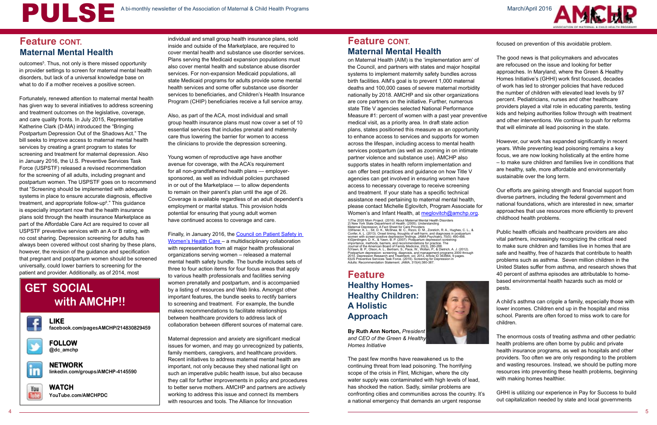

#### **Feature CONT. Maternal Mental Health**

outcomes<sup>5</sup>. Thus, not only is there missed opportunity in provider settings to screen for maternal mental health disorders, but lack of a universal knowledge base on what to do if a mother receives a positive screen.

Fortunately, renewed attention to maternal mental health has given way to several initiatives to address screening and treatment outcomes on the legislative, coverage, and care quality fronts. In July 2015, Representative Katherine Clark (D-MA) introduced the "Bringing Postpartum Depression Out of the Shadows Act." The bill seeks to improve access to maternal mental health services by creating a grant program to states for screening and treatment for maternal depression. Also in January 2016, the U.S. Preventive Services Task Force (USPSTF) released a revised recommendation for the screening of all adults, including pregnant and postpartum women. The USPSTF goes on to recommend that "Screening should be implemented with adequate systems in place to ensure accurate diagnosis, effective treatment, and appropriate follow-up<sup>6</sup>." This guidance is especially important now that the health insurance plans sold through the health insurance Marketplace as part of the Affordable Care Act are required to cover all USPSTF preventive services with an A or B rating, with no cost sharing. Depression screening for adults has always been covered without cost sharing by these plans, however, the revision of the guidance and specification that pregnant and postpartum women should be screened universally, could lower barriers to screening for the patient and provider. Additionally, as of 2014, most

Finally, in January 2016, the Council on Patient Safety in [Women's Health Care](http://www.safehealthcareforeverywoman.org/) – a multidisciplinary collaboration with representation from all major health professional organizations serving women – released a maternal mental health safety bundle. The bundle includes sets of three to four action items for four focus areas that apply to various health professionals and facilities serving women prenatally and postpartum, and is accompanied by a listing of resources and Web links. Amongst other important features, the bundle seeks to rectify barriers to screening and treatment. For example, the bundle makes recommendations to facilitate relationships between healthcare providers to address lack of collaboration between different sources of maternal care.

individual and small group health insurance plans, sold inside and outside of the Marketplace, are required to cover mental health and substance use disorder services. Plans serving the Medicaid expansion populations must also cover mental health and substance abuse disorder services. For non-expansion Medicaid populations, all state Medicaid programs for adults provide some mental health services and some offer substance use disorder services to beneficiaries, and Children's Health Insurance Program (CHIP) beneficiaries receive a full service array.

on Maternal Health (AIM) is the 'implementation arm' of the Council, and partners with states and major hospital systems to implement maternity safety bundles across birth facilities. AIM's goal is to prevent 1,000 maternal deaths and 100,000 cases of severe maternal morbidity nationally by 2018. AMCHP and six other organizations are core partners on the initiative. Further, numerous state Title V agencies selected National Performance Measure #1: percent of women with a past year preventive medical visit, as a priority area. In draft state action plans, states positioned this measure as an opportunity to enhance access to services and supports for women across the lifespan, including access to mental health services postpartum (as well as zooming in on intimate partner violence and substance use). AMCHP also supports states in health reform implementation and can offer best practices and guidance on how Title V agencies can get involved in ensuring women have access to necessary coverage to receive screening and treatment. If your state has a specific technical assistance need pertaining to maternal mental health, please contact Michelle Eglovitch, Program Associate for Women's and Infant Health, at [meglovitch@amchp.org](mailto:meglovitch%40amchp.org?subject=).

1)The 2020 Mom Project. (2016). About Matemal Mental Health Disorders<br>2) New York State Department of Health. (2005). Understanding<br>Maternal Depression, A Fact Sheet for Care Providers<br>Confer, A. L., (2013). Onset timing, importance, methods, barriers, and recommendations for practice. The<br>Journal of the American Board of Family Medicine, 20(3), 280-288.<br>5)Yawn, B. P., Olson, A. L., Bertram, S., Pace, W., Wollan, P., & Dietrich, A. J. (2012

Also, as part of the ACA, most individual and small group health insurance plans must now cover a set of 10 essential services that includes prenatal and maternity care thus lowering the barrier for women to access the clinicians to provide the depression screening.

Young women of reproductive age have another avenue for coverage, with the ACA's requirement for all non-grandfathered health plans — employersponsored, as well as individual policies purchased in or out of the Marketplace — to allow dependents to remain on their parent's plan until the age of 26. Coverage is available regardless of an adult dependent's employment or marital status. This provision holds potential for ensuring that young adult women have continued access to coverage and care.

Maternal depression and anxiety are significant medical issues for women, and may go unrecognized by patients, family members, caregivers, and healthcare providers. Recent initiatives to address maternal mental health are important, not only because they shed national light on such an imperative public health issue, but also because they call for further improvements in policy and procedures to better serve mothers. AMCHP and partners are actively working to address this issue and connect its members with resources and tools. The Alliance for Innovation

#### **Feature Healthy Homes-Healthy Children: A Holistic Approach**



**By Ruth Ann Norton,** *President and CEO of the Green & Healthy Homes Initiative* 

focused on prevention of this avoidable problem.

The good news is that policymakers and advocates are refocused on the issue and looking for better approaches. In Maryland, where the Green & Healthy Homes Initiative's (GHHI) work first focused, decades of work has led to stronger policies that have reduced the number of children with elevated lead levels by 97 percent. Pediatricians, nurses and other healthcare providers played a vital role in educating parents, testing kids and helping authorities follow through with treatment and other interventions. We continue to push for reforms that will eliminate all lead poisoning in the state.

However, our work has expanded significantly in recent years. While preventing lead poisoning remains a key focus, we are now looking holistically at the entire home – to make sure children and families live in conditions that are healthy, safe, more affordable and environmentally sustainable over the long term.

The past few months have reawakened us to the continuing threat from lead poisoning. The horrifying scope of the crisis in Flint, Michigan, where the city water supply was contaminated with high levels of lead, has shocked the nation. Sadly, similar problems are confronting cities and communities across the country. It's a national emergency that demands an urgent response and wasting resources. Instead, we should be putting more resources into preventing these health problems, beginning with making homes healthier. GHHI is utilizing our experience in Pay for Success to build out capitalization needed by state and local governments

Our efforts are gaining strength and financial support from diverse partners, including the federal government and national foundations, which are interested in new, smarter approaches that use resources more efficiently to prevent childhood health problems.

Public health officials and healthcare providers are also vital partners, increasingly recognizing the critical need to make sure children and families live in homes that are safe and healthy, free of hazards that contribute to health problems such as asthma. Seven million children in the United States suffer from asthma, and research shows that 40 percent of asthma episodes are attributable to homebased environmental health hazards such as mold or pests.

A child's asthma can cripple a family, especially those with lower incomes. Children end up in the hospital and miss school. Parents are often forced to miss work to care for children.

The enormous costs of treating asthma and other pediatric health problems are often borne by public and private health insurance programs, as well as hospitals and other providers. Too often we are only responding to the problem

## **GET SOCIAL with AMCHP!!**



**LIKE facebook.com/pagesAMCHP/214830829459**



**FOLLOW @dc\_amchp**



**NETWORK linkedin.com/groups/AMCHP-4145590**



**WATCH YouTube.com/AMCHPDC** 

### **Feature CONT. Maternal Mental Health**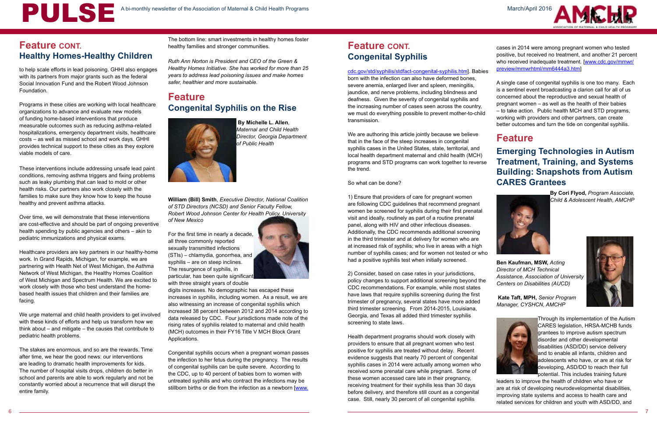

### **[Feature CONT.](http://www.cdc.gov/std/syphilis/stdfact-congenital-syphilis.htm) [Congenital Syphilis](http://www.cdc.gov/std/syphilis/stdfact-congenital-syphilis.htm)**

[cdc.gov/std/syphilis/stdfact-congenital-syphilis.htm\]](http://www.cdc.gov/std/syphilis/stdfact-congenital-syphilis.htm). Babies born with the infection can also have deformed bones, severe anemia, enlarged liver and spleen, meningitis, jaundice, and nerve problems, including blindness and deafness. Given the severity of congenital syphilis and the increasing number of cases seen across the country,

we must do everything possible to prevent mother-to-child

transmission.

We are authoring this article jointly because we believe that in the face of the steep increases in congenital syphilis cases in the United States, state, territorial, and local health department maternal and child health (MCH) programs and STD programs can work together to reverse the trend.

So what can be done?

1) Ensure that providers of care for pregnant women are following CDC guidelines that recommend pregnant women be screened for syphilis during their first prenatal visit and ideally, routinely as part of a routine prenatal panel, along with HIV and other infectious diseases. Additionally, the CDC recommends additional screening in the third trimester and at delivery for women who are at increased risk of syphilis; who live in areas with a high number of syphilis cases; and for women not tested or who had a positive syphilis test when initially screened.

2) Consider, based on case rates in your jurisdictions, policy changes to support additional screening beyond the CDC recommendations. For example, while most states have laws that require syphilis screening during the first trimester of pregnancy, several states have more added third trimester screening. From 2014-2015, Louisiana, Georgia, and Texas all added third trimester syphilis screening to state laws.

Congenital syphilis occurs when a pregnant woman passes the infection to her fetus during the pregnancy. The results of congenital syphilis can be quite severe. According to the CDC, up to 40 percent of babies born to women with untreated syphilis and who contract the infections may be stillborn births or die from the infection as a newborn [[www.](http://www.cdc.gov/std/syphilis/stdfact-congenital-syphilis.htm)

Health department programs should work closely with providers to ensure that all pregnant women who test positive for syphilis are treated without delay. Recent evidence suggests that nearly 70 percent of congenital syphilis cases in 2014 were actually among women who received some prenatal care while pregnant. Some of these women accessed care late in their pregnancy, receiving treatment for their syphilis less than 30 days before delivery, and therefore still count as a congenital case. Still, nearly 30 percent of all congenital syphilis

The bottom line: smart investments in healthy homes foster healthy families and stronger communities.

*Ruth Ann Norton is President and CEO of the Green & Healthy Homes Initiative. She has worked for more than 25 years to address lead poisoning issues and make homes safer, healthier and more sustainable.* 

#### **Feature Congenital Syphilis on the Rise**



 **By Michelle L. Allen**, *Maternal and Child Health Director, Georgia Department of Public Health*

**William (Bill) Smith**, *Executive Director, National Coalition of STD Directors (NCSD) and Senior Faculty Fellow, Robert Wood Johnson Center for Health Policy, University of New Mexico* 

For the first time in nearly a decade, all three commonly reported sexually transmitted infections (STIs) – chlamydia, gonorrhea, and syphilis – are on steep inclines. The resurgence of syphilis, in particular, has been quite significant with three straight years of double



digits increases. No demographic has escaped these increases in syphilis, including women. As a result, we are also witnessing an increase of congenital syphilis which increased 38 percent between 2012 and 2014 according to data released by CDC. Four jurisdictions made note of the rising rates of syphilis related to maternal and child health (MCH) outcomes in their FY16 Title V MCH Block Grant Applications.

to help scale efforts in lead poisoning. GHHI also engages with its partners from major grants such as the federal Social Innovation Fund and the Robert Wood Johnson Foundation.

Programs in these cities are working with local healthcare organizations to advance and evaluate new models of funding home-based interventions that produce measurable outcomes such as reducing asthma-related hospitalizations, emergency department visits, healthcare costs – as well as missed school and work days. GHHI provides technical support to these cities as they explore viable models of care.

These interventions include addressing unsafe lead paint conditions, removing asthma triggers and fixing problems such as leaky plumbing that can lead to mold or other health risks. Our partners also work closely with the families to make sure they know how to keep the house healthy and prevent asthma attacks.

Over time, we will demonstrate that these interventions are cost-effective and should be part of ongoing preventive health spending by public agencies and others – akin to pediatric immunizations and physical exams.

Healthcare providers are key partners in our healthy-home work. In Grand Rapids, Michigan, for example, we are partnering with Health Net of West Michigan, the Asthma Network of West Michigan, the Healthy Homes Coalition of West Michigan and Spectrum Health. We are excited to work closely with those who best understand the homebased health issues that children and their families are facing.

We urge maternal and child health providers to get involved with these kinds of efforts and help us transform how we think about – and mitigate – the causes that contribute to pediatric health problems.

The stakes are enormous, and so are the rewards. Time after time, we hear the good news: our interventions are leading to dramatic health improvements for kids. The number of hospital visits drops, children do better in school and parents are able to work regularly and not be constantly worried about a recurrence that will disrupt the entire family.

cases in 2014 were among pregnant women who tested positive, but received no treatment, and another 21 percent who received inadequate treatment. [[www.cdc.gov/mmwr/](http://www.cdc.gov/mmwr/preview/mmwrhtml/mm6444a3.htm) [preview/mmwrhtml/mm6444a3.htm\]](http://www.cdc.gov/mmwr/preview/mmwrhtml/mm6444a3.htm)

A single case of congenital syphilis is one too many. Each is a sentinel event broadcasting a clarion call for all of us concerned about the reproductive and sexual health of pregnant women – as well as the health of their babies – to take action. Public health MCH and STD programs, working with providers and other partners, can create

better outcomes and turn the tide on congenital syphilis.

#### **Feature**

#### **Emerging Technologies in Autism Treatment, Training, and Systems Building: Snapshots from Autism CARES Grantees**



**By Cori Flyod,** *Program Associate, Child & Adolescent Health, AMCHP*

**Ben Kaufman, MSW,** *Acting Director of MCH Technical Assistance, Association of University Centers on Disabilities (AUCD)*



 **Kate Taft, MPH,** *Senior Program Manager, CYSHCN, AMCHP* 



Through its implementation of the Autism CARES legislation, HRSA-MCHB funds grantees to improve autism spectrum disorder and other developmental disabilities (ASD/DD) service delivery and to enable all infants, children and adolescents who have, or are at risk for developing, ASD/DD to reach their full potential. This includes training future

leaders to improve the health of children who have or are at risk of developing neurodevelopmental disabilities, improving state systems and access to health care and related services for children and youth with ASD/DD, and

### **Feature CONT. Healthy Homes-Healthy Children**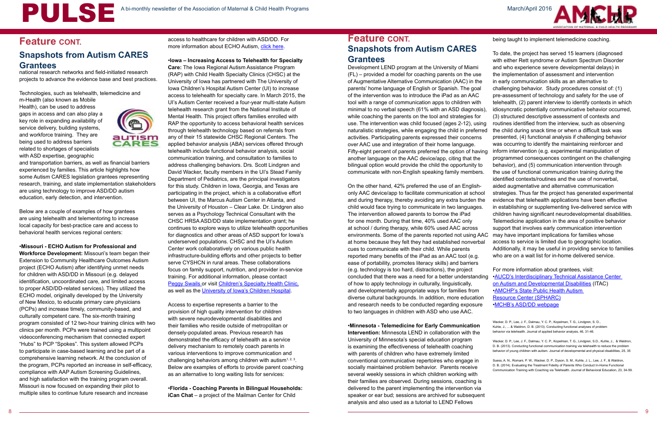

national research networks and field-initiated research projects to advance the evidence base and best practices.

Technologies, such as telehealth, telemedicine and

m-Health (also known as Mobile Health), can be used to address gaps in access and can also play a key role in expanding availability of service delivery, building systems, and workforce training. They are being used to address barriers related to shortages of specialists with ASD expertise, geographic



and transportation barriers, as well as financial barriers experienced by families. This article highlights how some Autism CARES legislation grantees representing research, training, and state implementation stakeholders are using technology to improve ASD/DD autism education, early detection, and intervention.

Below are a couple of examples of how grantees are using telehealth and telementoring to increase local capacity for best-practice care and access to behavioral health services regional centers:

•**Missouri - ECHO Autism for Professional and Workforce Development:** Missouri's team began their Extension to Community Healthcare Outcomes Autism project (ECHO Autism) after identifying unmet needs for children with ASD/DD in Missouri (e.g. delayed identification, uncoordinated care, and limited access to proper ASD/DD-related services). They utilized the ECHO model, originally developed by the University of New Mexico, to educate primary care physicians (PCPs) and increase timely, community-based, and culturally competent care. The six-month training program consisted of 12 two-hour training clinics with two clinics per month. PCPs were trained using a multipoint videoconferencing mechanism that connected expert "Hubs" to PCP "Spokes". This system allowed PCPs to participate in case-based learning and be part of a comprehensive learning network. At the conclusion of the program, PCPs reported an increase in self-efficacy, compliance with AAP Autism Screening Guidelines, and high satisfaction with the training program overall. Missouri is now focused on expanding their pilot to multiple sites to continue future research and increase

Development LEND program at the University of Miami (FL) – provided a model for coaching parents on the use of Augmentative Alternative Communication (AAC) in the parents' home language of English or Spanish. The goal of the intervention was to introduce the iPad as an AAC tool with a range of communication apps to children with minimal to no verbal speech (61% with an ASD diagnosis while coaching the parents on the tool and strategies for use. The intervention was child focused (ages 2-12), usir naturalistic strategies, while engaging the child in preferre activities. Participating parents expressed their concerns over AAC use and integration of their home language. Fifty-eight percent of parents preferred the option of having another language on the AAC device/app, citing that the bilingual option would provide the child the opportunity to communicate with non-English speaking family members.

On the other hand, 42% preferred the use of an Englishonly AAC device/app to facilitate communication at school and during therapy, thereby avoiding any extra burden the child would face trying to communicate in two languages. The intervention allowed parents to borrow the iPad for one month. During that time, 40% used AAC only at school / during therapy, while 60% used AAC across environments. Some of the parents reported not using AA at home because they felt they had established nonverbal cues to communicate with their child. While parents reported many benefits of the iPad as an AAC tool (e.g. ease of portability, promotes literacy skills) and barriers (e.g. technology is too hard, distractions), the project concluded that there was a need for a better understandi of how to apply technology in culturally, linguistically, and developmentally appropriate ways for families from diverse cultural backgrounds. In addition, more education and research needs to be conducted regarding exposure to two languages in children with ASD who use AAC.

access to healthcare for children with ASD/DD. For more information about ECHO Autism, [click here](https://thompsoncenter.missouri.edu/training/echo-autism/).

> •**Minnesota - Telemedicine for Early Communication Intervention:** Minnesota LEND in collaboration with the University of Minnesota's special education program is examining the effectiveness of telehealth coaching with parents of children who have extremely limited conventional communicative repertoires who engage in socially maintained problem behavior. Parents receive several weekly sessions in which children working with their families are observed. During sessions, coaching is delivered to the parent implementing the intervention via speaker or ear bud; sessions are archived for subsequent analysis and also used as a tutorial to LEND Fellows

being taught to implement telemedicine coaching.

|     | To date, the project has served 15 learners (diagnosed          |
|-----|-----------------------------------------------------------------|
|     | with either Rett syndrome or Autism Spectrum Disorder           |
|     | and who experience severe developmental delays) in              |
|     | the implementation of assessment and intervention               |
|     | in early communication skills as an alternative to              |
|     | challenging behavior. Study procedures consist of: (1)          |
|     | pre-assessment of technology and safety for the use of          |
|     | telehealth, (2) parent interview to identify contexts in which  |
| ;), | idiosyncratic potentially communicative behavior occurred,      |
|     | (3) structured descriptive assessment of contexts and           |
| ١g  | routines identified from the interview, such as observing       |
| be  | the child during snack time or when a difficult task was        |
|     | presented, (4) functional analysis if challenging behavior      |
|     | was occurring to identify the maintaining reinforcer and        |
| ng  | inform intervention (e.g. experimental manipulation of          |
|     | programmed consequences contingent on the challenging           |
|     | behavior), and (5) communication intervention through           |
| i,  | the use of functional communication training during the         |
|     | identified contexts/routines and the use of nonverbal,          |
|     | aided augmentative and alternative communication                |
| рĮ  | strategies. Thus far the project has generated experimental     |
| e   | evidence that telehealth applications have been effective       |
|     | in establishing or supplementing live-delivered service with    |
|     | children having significant neurodevelopmental disabilities.    |
|     | Telemedicine application in the area of positive behavior       |
|     | support that involves early communication intervention          |
| ١C  | may have important implications for families whose              |
| al  | access to service is limited due to geographic location.        |
|     | Additionally, it may be useful in providing service to families |
|     | who are on a wait list for in-home delivered service.           |
|     |                                                                 |
|     | For more information about grantees, visit:                     |
| ng  | .AUCD's Interdisciplinary Technical Assistance Center           |
|     | on Autism and Developmental Disabilities (ITAC)                 |
|     | <b>.AMCHP's State Public Health Autism</b>                      |
| ١   | <b>Resource Center (SPHARC)</b>                                 |
|     | .MCHB's ASD/DD webpage                                          |

[Wacker, D. P., Lee, J. F., Dalmau, Y. C. P., Kopelman, T. G., Lindgren, S. D.,](http://mchb.hrsa.gov/programs/autism/index.html)  [Kuhle, J., ... & Waldron, D. B. \(2013\). Conducting functional analyses of problem](http://mchb.hrsa.gov/programs/autism/index.html)  [behavior via telehealth. Journal of applied behavior analysis, 46, 31-46.](http://mchb.hrsa.gov/programs/autism/index.html)

[Wacker, D. P., Lee, J. F., Dalmau, Y. C. P., Kopelman, T. G., Lindgren, S.D., Kuhle, J., & Waldron,](http://mchb.hrsa.gov/programs/autism/index.html)  [D. B. \(2013\). Conducting functional communication training via telehealth to reduce the problem](http://mchb.hrsa.gov/programs/autism/index.html)  [behavior of young children with autism. Journal of developmental and physical disabilities, 25, 35](http://mchb.hrsa.gov/programs/autism/index.html)

[Suess, A. N., Romani, P. W., Wacker, D. P., Dyson, S. M., Kuhle, J. L., Lee, J. F., & Waldron,](http://mchb.hrsa.gov/programs/autism/index.html)  [D. B. \(2014\). Evaluating the Treatment Fidelity of Parents Who Conduct In-Home Functional](http://mchb.hrsa.gov/programs/autism/index.html)  [Communication Training with Coaching via Telehealth. Journal of Behavioral Education, 23, 34-59.](http://mchb.hrsa.gov/programs/autism/index.html)

#### **Feature CONT. Snapshots from Autism CARES Grantees**

•**Iowa – Increasing Access to Telehealth for Specialty** 

**Care:** The Iowa Regional Autism Assistance Program (RAP) with Child Health Specialty Clinics (CHSC) at the University of Iowa has partnered with The University of Iowa Children's Hospital Autism Center (UI) to increase access to telehealth for specialty care. In March 2015, the UI's Autism Center received a four-year multi-state Autism telehealth research grant from the National Institute of Mental Health. This project offers families enrolled with RAP the opportunity to access behavioral health services through telehealth technology based on referrals from any of their 15 statewide CHSC Regional Centers. The applied behavior analysis (ABA) services offered through telehealth include functional behavior analysis, social communication training, and consultation to families to address challenging behaviors. Drs. Scott Lindgren and David Wacker, faculty members in the UI's Stead Family Department of Pediatrics, are the principal investigators for this study. Children in Iowa, Georgia, and Texas are participating in the project, which is a collaborative effort between UI, the Marcus Autism Center in Atlanta, and the University of Houston – Clear Lake. Dr. Lindgren also serves as a Psychology Technical Consultant with the CHSC HRSA ASD/DD state implementation grant; he continues to explore ways to utilize telehealth opportunities for diagnostics and other areas of ASD support for Iowa's underserved populations. CHSC and the UI's Autism Center work collaboratively on various public health infrastructure-building efforts and other projects to better serve CYSHCN in rural areas. These collaborations focus on family support, nutrition, and provider in-service training. For additional information, please contact [Peggy Swails o](mailto:peggy-swails%40uiowa.edu?subject=)r visit [Children's Specialty Health Clinic,](http://chsciowa.org/regional-autism-assistance-program.asp) as well as the [University of Iowa's Children Hospital](http://www.uichildrens.org/).

Access to expertise represents a barrier to the provision of high quality intervention for children with severe neurodevelopmental disabilities and their families who reside outside of metropolitan or densely-populated areas. Previous research has demonstrated the efficacy of telehealth as a service delivery mechanism to remotely coach parents in various interventions to improve communication and challenging behaviors among children with autism<sup>1, 2, 3</sup>. Below are examples of efforts to provide parent coaching as an alternative to long waiting lists for services:

•**Florida - Coaching Parents in Bilingual Households: iCan Chat** – a project of the Mailman Center for Child

### **Feature CONT. Snapshots from Autism CARES Grantees**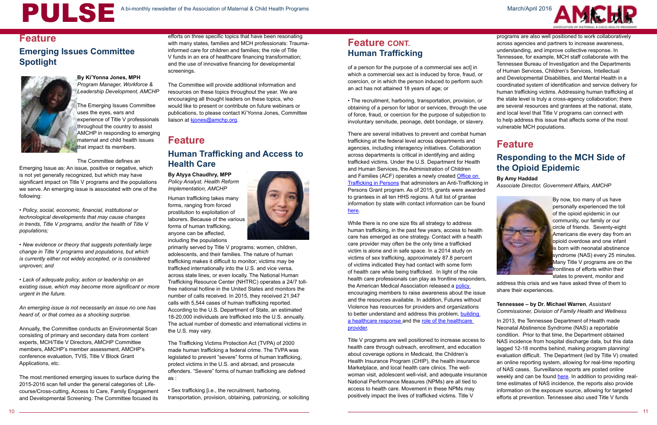10 11



# A bi-monthly newsletter of the Association of Maternal & Child Health Programs

#### **Feature**

#### **Emerging Issues Committee Spotlight**



**By Ki'Yonna Jones, MPH** *Program Manager, Workforce & Leadership Development, AMCHP*

The Emerging Issues Committee uses the eyes, ears and experience of Title V professionals throughout the country to assist AMCHP in responding to emerging maternal and child health issues that impact its members.

The Committee defines an

Emerging Issue as: An issue, positive or negative, which is not yet generally recognized, but which may have significant impact on Title V programs and the populations we serve. An emerging issue is associated with one of the following:

• *Policy, social, economic, financial, institutional or technological developments that may cause changes in trends, Title V programs, and/or the health of Title V populations;*

• *New evidence or theory that suggests potentially large change in Title V programs and populations, but which is currently either not widely accepted, or is considered unproven; and*

The Committee will provide additional information and resources on these topics throughout the year. We are encouraging all thought leaders on these topics, who would like to present or contribute on future webinars or publications, to please contact Ki'Yonna Jones, Committee liaison at [kjones@amchp.org.](mailto:kjones%40amchp.org?subject=)

• *Lack of adequate policy, action or leadership on an existing issue, which may become more significant or more urgent in the future.*

*An emerging issue is not necessarily an issue no one has heard of, or that comes as a shocking surprise.*

Annually, the Committee conducts an Environmental Scan consisting of primary and secondary data from content experts, MCH/Title V Directors, AMCHP Committee members, AMCHP's member assessment, AMCHP's conference evaluation, TVIS, Title V Block Grant Applications, etc.

The most mentioned emerging issues to surface during the 2015-2016 scan fell under the general categories of: Lifecourse/Cross-cutting, Access to Care, Family Engagement and Developmental Screening. The Committee focused its

efforts on three specific topics that have been resonating with many states, families and MCH professionals: Traumainformed care for children and families; the role of Title V funds in an era of healthcare financing transformation; and the use of innovative financing for developmental screenings.

### **Feature Human Trafficking and Access to Health Care**

**By Atyya Chaudhry, MPP**  *Policy Analyst, Health Reform Implementation, AMCHP*

Human trafficking takes many forms, ranging from forced prostitution to exploitation of laborers. Because of the various forms of human trafficking, anyone can be affected, including the populations



primarily served by Title V programs: women, children, adolescents, and their families. The nature of human trafficking makes it difficult to monitor; victims may be trafficked internationally into the U.S. and vice versa, across state lines, or even locally. The National Human Trafficking Resource Center (NHTRC) operates a 24/7 tollfree national hotline in the United States and monitors the number of calls received. In 2015, they received 21,947 calls with 5,544 cases of human trafficking reported. According to the U.S. Department of State, an estimated 18-20,000 individuals are trafficked into the U.S. annually. The actual number of domestic and international victims in the U.S. may vary.

The Trafficking Victims Protection Act (TVPA) of 2000 made human trafficking a federal crime. The TVPA was legislated to prevent "severe" forms of human trafficking, protect victims in the U.S. and abroad, and prosecute offenders. "Severe" forms of human trafficking are defined as :

• Sex trafficking [i.e., the recruitment, harboring, transportation, provision, obtaining, patronizing, or soliciting of a person for the purpose of a commercial sex act] in which a commercial sex act is induced by force, fraud, or coercion, or in which the person induced to perform such an act has not attained 18 years of age; or

• The recruitment, harboring, transportation, provision, or obtaining of a person for labor or services, through the use of force, fraud, or coercion for the purpose of subjection to involuntary servitude, peonage, debt bondage, or slavery.

There are several initiatives to prevent and combat human trafficking at the federal level across departments and agencies, including interagency initiatives. Collaboration across departments is critical in identifying and aiding trafficked victims. Under the U.S. Department for Health and Human Services, the Administration of Children and Families (ACF) operates a newly created Office on [Trafficking in Persons](http://www.acf.hhs.gov/programs/endtrafficking/resource/anti-trafficking-in-persons-grants) that administers an Anti-Trafficking in Persons Grant program. As of 2015, grants were awarded to grantees in all ten HHS regions. A full list of grantee information by state with contact information can be found [here](http://www.acf.hhs.gov/programs/endtrafficking/resource/anti-trafficking-in-persons-grants).

Title V programs are well positioned to increase access to health care through outreach, enrollment, and education about coverage options in Medicaid, the Children's Health Insurance Program (CHIP), the health insurance Marketplace, and local health care clinics. The wellwoman visit, adolescent well-visit, and adequate insurance National Performance Measures (NPMs) are all tied to access to health care. Movement in these NPMs may positively impact the lives of trafficked victims. Title V

While there is no one size fits all strategy to address human trafficking, in the past few years, access to health care has emerged as one strategy. Contact with a health care provider may often be the only time a trafficked victim is alone and in safe space. In a 2014 study on victims of sex trafficking, approximately 87.8 percent of victims indicated they had contact with some form of health care while being trafficked. In light of the role health care professionals can play as frontline responders, the American Medical Association released a policy encouraging members to raise awareness about the issue and the resources available. In addition, Futures without Violence has resources for providers and organizations to better understand and address this problem, building [a healthcare response a](https://www.futureswithoutviolence.org/building-a-health-care-response-to-human-trafficking/)nd the role of the healthcare [provider.](https://www.futureswithoutviolence.org/human-trafficking-role-healthcare/) circle of friends. Seventy-eight opioid overdose and one infant frontlines of efforts within their states to prevent, monitor and address this crisis and we have asked three of them to share their experiences. **Tennessee – by Dr. Michael Warren**, *Assistant Commissioner, Division of Family Health and Wellness* In 2013, the Tennessee Department of Health made Neonatal Abstinence Syndrome (NAS) a reportable

programs are also well positioned to work collaboratively across agencies and partners to increase awareness, understanding, and improve collective response. In Tennessee, for example, MCH staff collaborate with the Tennessee Bureau of Investigation and the Departments of Human Services, Children's Services, Intellectual and Developmental Disabilities, and Mental Health in a coordinated system of identification and service delivery for human trafficking victims. Addressing human trafficking at the state level is truly a cross-agency collaboration; there are several resources and grantees at the national, state, and local level that Title V programs can connect with to help address this issue that affects some of the most vulnerable MCH populations.

### **Feature**

#### **Responding to the MCH Side of the Opioid Epidemic**

#### **By Amy Haddad**

*Associate Director, Government Affairs, AMCHP*



By now, too many of us have personally experienced the toll of the opioid epidemic in our community, our family or our Americans die every day from an is born with neonatal abstinence syndrome (NAS) every 25 minutes. Many Title V programs are on the

condition. Prior to that time, the Department obtained NAS incidence from hospital discharge data, but this data lagged 12-18 months behind, making program planning/ evaluation difficult. The Department (led by Title V) created an online reporting system, allowing for real-time reporting of NAS cases. Surveillance reports are posted online weekly and can be found [here.](In 2013, the Tennessee Department of Health made Neonatal Abstinence Syndrome (NAS) a reportable condition.  Prior to that time, the Department obtained NAS incidence from hospital discharge data, but this data lagged 12-18 months behind, making program planning/evaluation difficult.  The Department (led by Title V) created an online reporting system, allowing for real-time reporting of NAS cases.  Surveillance reports are posted online weekly and can be found here. In addition to providing real-time estimates of NAS incidence, the reports also provide information on the exposure source, allowing for targeted efforts at prevention. 
Tennessee also used Title V funds to support five mini-grants to academic and community partners to answer key questions related to addressing the NAS epidemic.  The grants required a partnership between an academic institution and a community stakeholder and focused on five topic areas:  optimal management of NAS infants and pregnant women, barriers to contraceptive use, provider knowledge/behavior, and risk models for identifying mothers most at risk for delivering a baby with NAS.  Study summaries and final project reports can be found here.  
) In addition to providing realtime estimates of NAS incidence, the reports also provide information on the exposure source, allowing for targeted efforts at prevention. Tennessee also used Title V funds

### **Feature CONT. Human Trafficking**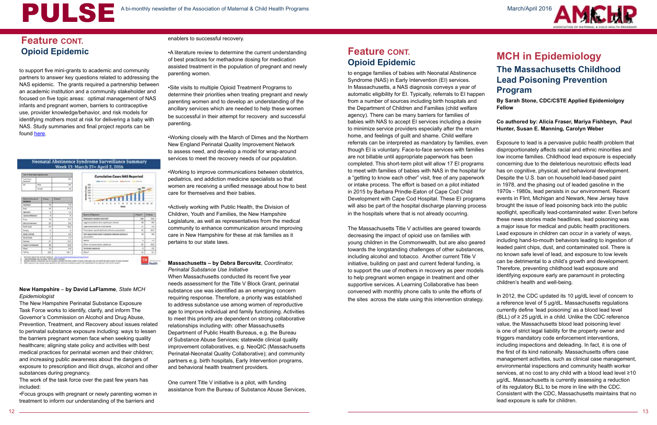March/April 2016



to support five mini-grants to academic and community partners to answer key questions related to addressing the NAS epidemic. The grants required a partnership between an academic institution and a community stakeholder and focused on five topic areas: optimal management of NAS infants and pregnant women, barriers to contraceptive use, provider knowledge/behavior, and risk models for identifying mothers most at risk for delivering a baby with NAS. Study summaries and final project reports can be found [here.](http://www.tn.gov/health/article/nas-research-projects)

### Neonatal Abstinence Syndrome Surveillance Summary<br>Week 13: March 27= April 2, 2016

| line in her houring homes:                      |                |                |               | <b>Cumulative Cases NAS Reported</b>                    |                     |                            |
|-------------------------------------------------|----------------|----------------|---------------|---------------------------------------------------------|---------------------|----------------------------|
| <b>Road Stands</b><br><b>Book of California</b> |                |                | $\frac{1}{2}$ | <b>Bank Strips</b> Annex Milled                         |                     |                            |
| <b>Sec</b>                                      | <b>Silver</b>  |                | <b>un</b>     | w                                                       |                     |                            |
|                                                 | <b>Flemmen</b> |                | w             | <b>INE</b><br><b>SH</b>                                 |                     |                            |
|                                                 |                |                |               | ш<br><b>SERVICE</b>                                     |                     |                            |
| Modernied Standig of<br>www.                    | 4 Guest        | <b>William</b> |               | w<br>٠                                                  |                     |                            |
| <b>Tachino</b>                                  |                | w              | T'B           | 3 5 4<br>r<br>٠<br>٠<br><b>Woods</b>                    | 12 18 14<br>$^{12}$ |                            |
| <b>Black</b>                                    |                | $^{44}$        | <b>IFS</b>    |                                                         |                     |                            |
| <b>TOPICALLY</b>                                |                | x              | 18            |                                                         |                     |                            |
| Jackson Rischard                                |                | ¥              | 7             | <b>Nourus of Equinors</b>                               | # Rangell           | <b>Nilson</b>              |
|                                                 |                | ÷              | <b>AR</b>     | <b>Statecalists assista reachest</b>                    | <b>UM</b>           | 19.48                      |
| <b>Million</b>                                  |                |                |               |                                                         |                     |                            |
| Web Conviertants                                |                | as-            | 16            | logal prescription of an aproximation referent          | 140                 | 16.0                       |
| <b>Build State</b>                              |                | <b>AP</b>      | mr.           | impair proportions of a humanism                        | $\sim$              | 11.18                      |
| <b>Starting</b>                                 |                | ¥              | ÷             | Rose/option capital ship/red artificial a prison/origin | $\Rightarrow$       |                            |
| <b>BILEY CAYER</b>                              |                | ¥              | <b>Int</b>    | Notice could be a creative a change to the country      | m                   | 88                         |
| <b>Book Rad</b>                                 |                | ï              | 13            | prostructor.                                            |                     |                            |
| <b>Bulletin</b>                                 |                | 41             | 10.8          | <b>Harriott</b>                                         | $\overline{a}$      |                            |
| <b>User Complete</b>                            |                | $\mathbb{R}$   | <b>NOR</b>    | <b>DTA: hone was gone substants</b>                     | m                   | 86.0<br>15.86<br><b>HH</b> |
| <b>Want</b>                                     |                | $\overline{1}$ | k             | <b>Saliman executive</b>                                | u                   | 21                         |

#### **New Hampshire** – **by David LaFlamme***, State MCH Epidemiologist*

The New Hampshire Perinatal Substance Exposure Task Force works to identify, clarify, and inform The Governor's Commission on Alcohol and Drug Abuse, Prevention, Treatment, and Recovery about issues related to perinatal substance exposure including: ways to lessen the barriers pregnant women face when seeking quality healthcare; aligning state policy and activities with best medical practices for perinatal women and their children; and increasing public awareness about the dangers of exposure to prescription and illicit drugs, alcohol and other substances during pregnancy.

The work of the task force over the past few years has included:

•Focus groups with pregnant or newly parenting women in treatment to inform our understanding of the barriers and

#### enablers to successful recovery.

•A literature review to determine the current understanding of best practices for methadone dosing for medication assisted treatment in the population of pregnant and newly parenting women.

•Site visits to multiple Opioid Treatment Programs to determine their priorities when treating pregnant and newly parenting women and to develop an understanding of the ancillary services which are needed to help these women be successful in their attempt for recovery and successful parenting.

•Working closely with the March of Dimes and the Northern New England Perinatal Quality Improvement Network to assess need, and develop a model for wrap-around services to meet the recovery needs of our population.

•Working to improve communications between obstetrics, pediatrics, and addiction medicine specialists so that women are receiving a unified message about how to best care for themselves and their babies.

•Actively working with Public Health, the Division of Children, Youth and Families, the New Hampshire Legislature, as well as representatives from the medical community to enhance communication around improving care in New Hampshire for these at risk families as it pertains to our state laws.

#### **Massachusetts – by Debra Bercuvitz**, *Coordinator, Perinatal Substance Use Initiative*

When Massachusetts conducted its recent five year needs assessment for the Title V Block Grant, perinatal substance use was identified as an emerging concern requiring response. Therefore, a priority was established to address substance use among women of reproductive age to improve individual and family functioning. Activities to meet this priority are dependent on strong collaborative relationships including with: other Massachusetts Department of Public Health Bureaus, e.g. the Bureau of Substance Abuse Services; statewide clinical quality improvement collaboratives, e.g. NeoQIC (Massachusetts Perinatal-Neonatal Quality Collaborative); and community partners e.g. birth hospitals, Early Intervention programs, and behavioral health treatment providers.

One current Title V initiative is a pilot, with funding assistance from the Bureau of Substance Abuse Services,

#### **Feature CONT. Opioid Epidemic**

to engage families of babies with Neonatal Abstinence Syndrome (NAS) in Early Intervention (EI) services. In Massachusetts, a NAS diagnosis conveys a year of automatic eligibility for EI. Typically, referrals to EI happen from a number of sources including birth hospitals and the Department of Children and Families (child welfare agency). There can be many barriers for families of babies with NAS to accept EI services including a desire to minimize service providers especially after the return home, and feelings of guilt and shame. Child welfare

### **MCH in Epidemiology The Massachusetts Childhood Lead Poisoning Prevention Program**

referrals can be interpreted as mandatory by families, even though EI is voluntary. Face-to-face services with families are not billable until appropriate paperwork has been completed. This short-term pilot will allow 17 EI programs to meet with families of babies with NAS in the hospital for a "getting to know each other" visit, free of any paperwork or intake process. The effort is based on a pilot initiated in 2015 by Barbara Prindle-Eaton of Cape Cod Child Development with Cape Cod Hospital. These EI programs will also be part of the hospital discharge planning process in the hospitals where that is not already occurring. The Massachusetts Title V activities are geared towards decreasing the impact of opioid use on families with young children in the Commonwealth, but are also geared towards the longstanding challenges of other substances, including alcohol and tobacco. Another current Title V initiative, building on past and current federal funding, is to support the use of mothers in recovery as peer models to help pregnant women engage in treatment and other supportive services. A Learning Collaborative has been convened with monthly phone calls to unite the efforts of the sites across the state using this intervention strategy. Exposure to lead is a pervasive public health problem that disproportionately affects racial and ethnic minorities and low income families. Childhood lead exposure is especially concerning due to the deleterious neurotoxic effects lead has on cognitive, physical, and behavioral development. Despite the U.S. ban on household lead-based paint in 1978, and the phasing out of leaded gasoline in the 1970s - 1980s, lead persists in our environment. Recent events in Flint, Michigan and Newark, New Jersey have brought the issue of lead poisoning back into the public spotlight, specifically lead-contaminated water. Even before these news stories made headlines, lead poisoning was a major issue for medical and public health practitioners. Lead exposure in children can occur in a variety of ways, including hand-to-mouth behaviors leading to ingestion of leaded paint chips, dust, and contaminated soil. There is no known safe level of lead, and exposure to low levels can be detrimental to a child's growth and development. Therefore, preventing childhood lead exposure and identifying exposure early are paramount in protecting children's health and well-being. In 2012, the CDC updated its 10 µg/dL level of concern to

**By Sarah Stone, CDC/CSTE Applied Epidemiolgoy Fellow**

**Co authored by: Alicia Fraser, Mariya Fishbeyn, Paul Hunter, Susan E. Manning, Carolyn Weber**

a reference level of 5 µg/dL. Massachusetts regulations currently define 'lead poisoning' as a blood lead level (BLL) of  $≥$  25 µg/dL in a child. Unlike the CDC reference value, the Massachusetts blood lead poisoning level is one of strict legal liability for the property owner and triggers mandatory code enforcement interventions, including inspections and deleading. In fact, it is one of the first of its kind nationally. Massachusetts offers case management activities, such as clinical case management, environmental inspections and community health worker services, at no cost to any child with a blood lead level ≥10 µg/dL. Massachusetts is currently assessing a reduction of its regulatory BLL to be more in line with the CDC. Consistent with the CDC, Massachusetts maintains that no lead exposure is safe for children.

# A bi-monthly newsletter of the Association of Maternal & Child Health Programs

### **Feature CONT. Opioid Epidemic**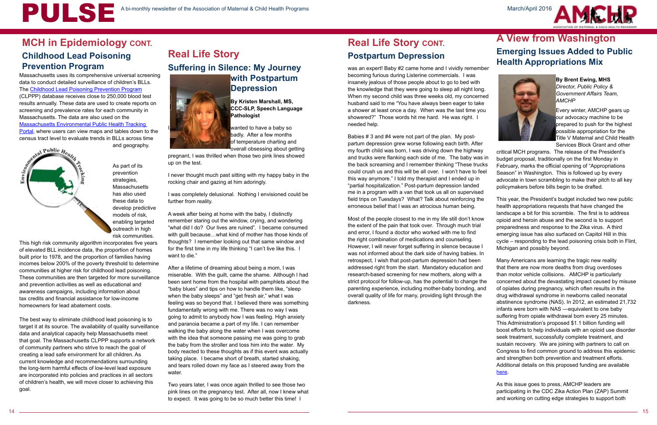

Massachusetts uses its comprehensive universal screening data to conduct detailed surveillance of children's BLLs. The [Childhood Lead Poisoning Prevention Program](http://www.cdc.gov/nceh/lead/about/program.htm) (CLPPP) database receives close to 250,000 blood test results annually. These data are used to create reports on screening and prevalence rates for each community in Massachusetts. The data are also used on the [Massachusetts Environmental Public Health Tracking](https://matracking.ehs.state.ma.us/)  [Portal](https://matracking.ehs.state.ma.us/), where users can view maps and tables down to the census tract level to evaluate trends in BLLs across time



and geography.

As part of its

prevention strategies, **Massachusetts** has also used these data to develop predictive models of risk, enabling targeted outreach in high risk communities.

### **Real Life Story Suffering in Silence: My Journey with Postpartum**



This high risk community algorithm incorporates five years of elevated BLL incidence data, the proportion of homes built prior to 1978, and the proportion of families having incomes below 200% of the poverty threshold to determine communities at higher risk for childhood lead poisoning. These communities are then targeted for more surveillance and prevention activities as well as educational and awareness campaigns, including information about tax credits and financial assistance for low-income homeowners for lead abatement costs.

The best way to eliminate childhood lead poisoning is to target it at its source. The availability of quality surveillance data and analytical capacity help Massachusetts meet that goal. The Massachusetts CLPPP supports a network of community partners who strive to reach the goal of creating a lead safe environment for all children. As current knowledge and recommendations surrounding the long-term harmful effects of low-level lead exposure are incorporated into policies and practices in all sectors of children's health, we will move closer to achieving this goal.

**Depression**

**By Kristen Marshall, MS, CCC-SLP, Speech Language Pathologist** 

wanted to have a baby so badly. After a few months of temperature charting and overall obsessing about getting

pregnant, I was thrilled when those two pink lines showed up on the test.

I never thought much past sitting with my happy baby in the rocking chair and gazing at him adoringly.

I was completely delusional. Nothing I envisioned could be further from reality.

A week after being at home with the baby, I distinctly remember staring out the window, crying, and wondering "what did I do? Our lives are ruined". I became consumed with guilt because…what kind of mother has those kinds of thoughts? I remember looking out that same window and for the first time in my life thinking "I can't live like this. I want to die."

After a lifetime of dreaming about being a mom, I was miserable. With the guilt, came the shame. Although I had been sent home from the hospital with pamphlets about the "baby blues" and tips on how to handle them like, "sleep when the baby sleeps" and "get fresh air," what I was feeling was so beyond that. I believed there was something fundamentally wrong with me. There was no way I was going to admit to anybody how I was feeling. High anxiety and paranoia became a part of my life. I can remember walking the baby along the water when I was overcome with the idea that someone passing me was going to grab the baby from the stroller and toss him into the water. My body reacted to these thoughts as if this event was actually taking place. I became short of breath, started shaking, and tears rolled down my face as I steered away from the water.

Two years later, I was once again thrilled to see those two pink lines on the pregnancy test. After all, now I knew what to expect. It was going to be so much better this time! I

### **Real Life Story CONT. Postpartum Depression**

### **MCH in Epidemiology CONT. Childhood Lead Poisoning Prevention Program**

was an expert! Baby #2 came home and I vividly remember becoming furious during Listerine commercials. I was insanely jealous of those people about to go to bed with the knowledge that they were going to sleep all night long. When my second child was three weeks old, my concerned husband said to me "You have always been eager to take a shower at least once a day. When was the last time you showered?" Those words hit me hard. He was right. I needed help.

Most of the people closest to me in my life still don't know the extent of the pain that took over. Through much trial and error, I found a doctor who worked with me to find the right combination of medications and counseling. However, I will never forget suffering in silence because I was not informed about the dark side of having babies. In retrospect, I wish that post-partum depression had been addressed right from the start. Mandatory education and research-based screening for new mothers, along with a strict protocol for follow-up, has the potential to change the parenting experience, including mother-baby bonding, and overall quality of life for many, providing light through the darkness.

Babies # 3 and #4 were not part of the plan. My postpartum depression grew worse following each birth. After my fourth child was born, I was driving down the highway and trucks were flanking each side of me. The baby was in the back screaming and I remember thinking "These trucks could crush us and this will be all over. I won't have to feel this way anymore." I told my therapist and I ended up in "partial hospitalization." Post-partum depression landed me in a program with a van that took us all on supervised field trips on Tuesdays? What? Talk about reinforcing the erroneous belief that I was an atrocious human being. Services Block Grant and other critical MCH programs. The release of the President's budget proposal, traditionally on the first Monday in February, marks the official opening of "Appropriations Season" in Washington. This is followed up by every advocate in town scrambling to make their pitch to all key policymakers before bills begin to be drafted. health appropriations requests that have changed the

### **A View from Washington Emerging Issues Added to Public Health Appropriations Mix**



**By Brent Ewing, MHS** *Director, Public Policy & Government Affairs Team, AMCHP*

Every winter, AMCHP gears up our advocacy machine to be prepared to push for the highest possible appropriation for the Title V Maternal and Child Health

This year, the President's budget included two new public landscape a bit for this scramble. The first is to address opioid and heroin abuse and the second is to support preparedness and response to the Zika virus. A third emerging issue has also surfaced on Capitol Hill in this cycle – responding to the lead poisoning crisis both in Flint, Michigan and possibly beyond.

Many Americans are learning the tragic new reality that there are now more deaths from drug overdoses than motor vehicle collisions. AMCHP is particularly concerned about the devastating impact caused by misuse of opiates during pregnancy, which often results in the drug withdrawal syndrome in newborns called neonatal abstinence syndrome (NAS). In 2012, an estimated 21,732 infants were born with NAS —equivalent to one baby suffering from opiate withdrawal born every 25 minutes. This Administration's proposed \$1.1 billion funding will boost efforts to help individuals with an opioid use disorder seek treatment, successfully complete treatment, and sustain recovery. We are joining with partners to call on Congress to find common ground to address this epidemic and strengthen both prevention and treatment efforts. Additional details on this proposed funding are available [here](https://www.whitehouse.gov/the-press-office/2015/10/21/fact-sheet-obama-administration-announces-public-and-private-sector).

As this issue goes to press, AMCHP leaders are participating in the CDC Zika Action Plan (ZAP) Summit and working on cutting edge strategies to support both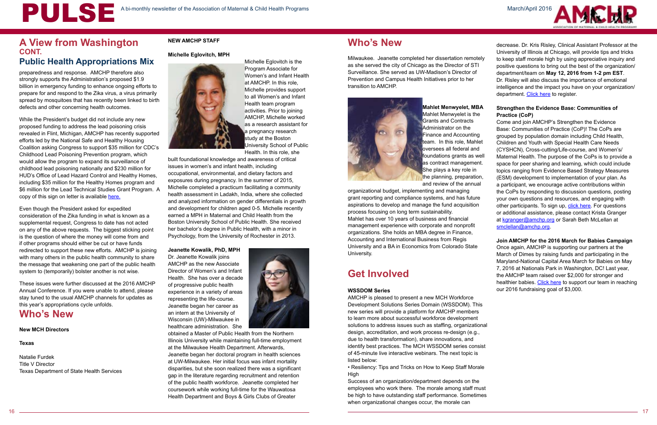

preparedness and response. AMCHP therefore also strongly supports the Administration's proposed \$1.9 billion in emergency funding to enhance ongoing efforts to prepare for and respond to the Zika virus, a virus primarily spread by mosquitoes that has recently been linked to birth defects and other concerning health outcomes.

While the President's budget did not include any new proposed funding to address the lead poisoning crisis revealed in Flint, Michigan, AMCHP has recently supported efforts led by the National Safe and Healthy Housing Coalition asking Congress to support \$35 million for CDC's Childhood Lead Poisoning Prevention program, which would allow the program to expand its surveillance of childhood lead poisoning nationally and \$230 million for HUD's Office of Lead Hazard Control and Healthy Homes, including \$35 million for the Healthy Homes program and \$6 million for the Lead Technical Studies Grant Program. A copy of this sign on letter is available [here.](https://www.whitehouse.gov/the-press-office/2016/02/08/fact-sheet-preparing-and-responding-zika-virus-home-and-abroad)

Even though the President asked for expedited consideration of the Zika funding in what is known as a supplemental request, Congress to date has not acted on any of the above requests. The biggest sticking point is the question of where the money will come from and if other programs should either be cut or have funds redirected to support these new efforts. AMCHP is joining with many others in the public health community to share the message that weakening one part of the public health system to (temporarily) bolster another is not wise.

These issues were further discussed at the 2016 AMCHP Annual Conference. If you were unable to attend, please stay tuned to the usual AMCHP channels for updates as this year's appropriations cycle unfolds.

### **Who's New**

#### **New MCH Directors**

#### **Texas**

Natalie Furdek Title V Director Texas Department of State Health Services

#### **NEW AMCHP STAFF**

#### **Michelle Eglovitch, MPH**



Michelle Eglovitch is the Program Associate for Women's and Infant Health at AMCHP. In this role, Michelle provides support to all Women's and Infant Health team program activities. Prior to joining AMCHP, Michelle worked as a research assistant for a pregnancy research study at the Boston University School of Public

Health. In this role, she built foundational knowledge and awareness of critical issues in women's and infant health, including occupational, environmental, and dietary factors and exposures during pregnancy. In the summer of 2015, Michelle completed a practicum facilitating a community health assessment in Ladakh, India, where she collected and analyzed information on gender differentials in growth and development for children aged 0-5. Michelle recently earned a MPH in Maternal and Child Health from the Boston University School of Public Health. She received her bachelor's degree in Public Health, with a minor in Psychology, from the University of Rochester in 2013.

decrease. Dr. Kris Risley, Clinical Assistant Professor at the University of Illinois at Chicago, will provide tips and tricks to keep staff morale high by using appreciative inquiry and positive questions to bring out the best of the organization/ department/team on **May 12, 2016 from 1-2 pm EST**. Dr. Risley will also discuss the importance of emotional intelligence and the impact you have on your organization/ department. [Click here](https://events-na4.adobeconnect.com/content/connect/c1/838359725/en/events/event/shared/default_template/event_landing.html?sco-id=1302852083&_charset_=utf-8) to register.

**Jeanette Kowalik, PhD, MPH**

Dr. Jeanette Kowalik joins AMCHP as the new Associate Director of Women's and Infant Health. She has over a decade of progressive public health experience in a variety of areas representing the life-course. Jeanette began her career as an intern at the University of Wisconsin (UW)-Milwaukee in healthcare administration. She



obtained a Master of Public Health from the Northern Illinois University while maintaining full-time employment at the Milwaukee Health Department. Afterwards, Jeanette began her doctoral program in health sciences at UW-Milwaukee. Her initial focus was infant mortality disparities, but she soon realized there was a significant gap in the literature regarding recruitment and retention of the public health workforce. Jeanette completed her coursework while working full-time for the Wauwatosa Health Department and Boys & Girls Clubs of Greater

### **A View from Washington Wholes A New AMCHP STAFF MEXICALLY A Who's New Who's New Wholes New Wholes New Wholes New Wholes New Wholes New Wholes New York 2013 CONT.**

Milwaukee. Jeanette completed her dissertation remotely as she served the city of Chicago as the Director of STI Surveillance. She served as UW-Madison's Director of Prevention and Campus Health Initiatives prior to her transition to AMCHP.



**Mahlet Menwyelet, MBA** Mahlet Menwyelet is the Grants and Contracts Administrator on the Finance and Accounting team. In this role, Mahlet oversees all federal and foundations grants as well as contract management. She plays a key role in the planning, preparation, and review of the annual

organizational budget, implementing and managing grant reporting and compliance systems, and has future aspirations to develop and manage the fund acquisition process focusing on long term sustainability. Mahlet has over 10 years of business and financial management experience with corporate and nonprofit organizations. She holds an MBA degree in Finance, Accounting and International Business from Regis University and a BA in Economics from Colorado State University.

### **Get Involved**

#### **WSSDOM Series**

AMCHP is pleased to present a new MCH Workforce Development Solutions Series Domain (WSSDOM). This new series will provide a platform for AMCHP members to learn more about successful workforce development solutions to address issues such as staffing, organizational design, accreditation, and work process re-design (e.g., due to health transformation), share innovations, and identify best practices. The MCH WSSDOM series consist of 45-minute live interactive webinars. The next topic is listed below:

• Resiliency: Tips and Tricks on How to Keep Staff Morale High

Success of an organization/department depends on the employees who work there. The morale among staff must be high to have outstanding staff performance. Sometimes when organizational changes occur, the morale can

#### **Strengthen the Evidence Base: Communities of Practice (CoP)**

Come and join AMCHP's Strengthen the Evidence Base: Communities of Practice (CoP)! The CoPs are grouped by population domain including Child Health, Children and Youth with Special Health Care Needs (CYSHCN), Cross-cutting/Life-course, and Women's/ Maternal Health. The purpose of the CoPs is to provide a space for peer sharing and learning, which could include topics ranging from Evidence Based Strategy Measures (ESM) development to implementation of your plan. As a participant, we encourage active contributions within the CoPs by responding to discussion questions, posting your own questions and resources, and engaging with other participants. To sign up, [click here](https://www.surveymonkey.com/r/CoP_MCHPop_Reg). For questions or additional assistance, please contact Krista Granger at [kgranger@amchp.org](mailto:kgranger%40amchp.org?subject=) or Sarah Beth McLellan at [smclellan@amchp.org.](mailto:smclellan%40amchp.org?subject=)

#### **[Join AMCHP for the 2016 March for Babies Campaign](mailto:smclellan%40amchp.org?subject=)**

[Once again, AMCHP is supporting our partners at the](mailto:smclellan%40amchp.org?subject=)  [March of Dimes by raising funds and participating in the](mailto:smclellan%40amchp.org?subject=)  [Maryland-National Capital Area March for Babies on May](mailto:smclellan%40amchp.org?subject=)  [7, 2016 at Nationals Park in Washington, DC! Last year,](mailto:smclellan%40amchp.org?subject=)  [the AMCHP team raised over \\$2,000 for stronger and](mailto:smclellan%40amchp.org?subject=)  healthier babies. Click here to support our team in reaching [our 2016 fundraising goal of \\$3,000.](mailto:smclellan%40amchp.org?subject=)

### **Public Health Appropriations Mix**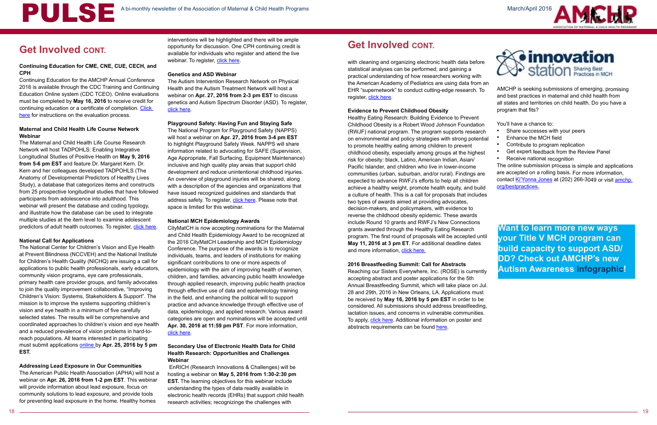# A bi-monthly newsletter of the Association of Maternal & Child Health Programs

Continuing Education for the AMCHP Annual Conference 2016 is available through the CDC Training and Continuing Education Online system (CDC TCEO). Online evaluations must be completed by **May 16, 2016** to receive credit for continuing education or a certificate of completion. Click [here](http://www.amchp.org/Calendar/Conferences/amchp-conference/Pages/default.aspx) for instructions on the evaluation process.

March/April 2016





### **Get Involved CONT.**

#### **Continuing Education for CME, CNE, CUE, CECH, and CPH**

The Maternal and Child Health Life Course Research Network will host TADPOHLS: Enabling Integrative Longitudinal Studies of Positive Health on **May 9, 2016 from 5-6 pm EST** and feature Dr. Margaret Kern. Dr. Kern and her colleagues developed TADPOHLS (The Anatomy of Developmental Predictors of Healthy Lives Study), a database that categorizes items and constructs from 25 prospective longitudinal studies that have followed participants from adolescence into adulthood. This webinar will present the database and coding typology, and illustrate how the database can be used to integrate multiple studies at the item level to examine adolescent predictors of adult health outcomes. To register, [click here.](https://attendee.gotowebinar.com/register/4315425182018125571)

#### **Maternal and Child Health Life Course Network Webinar**

interventions will be highlighted and there will be ample opportunity for discussion. One CPH continuing credit is available for individuals who register and attend the live webinar. To register, [click here](https://cc.readytalk.com/cc/s/registrations/new?cid=fsn9zzpys58b).

#### **National Call for Applications**

The National Center for Children's Vision and Eye Health at Prevent Blindness (NCCVEH) and the National Institute for Children's Health Quality (NICHQ) are issuing a call for applications to public health professionals, early educators, community vision programs, eye care professionals, primary health care provider groups, and family advocates to join the quality improvement collaborative, "Improving Children's Vision: Systems, Stakeholders & Support". The mission is to improve the systems supporting children's vision and eye health in a minimum of five carefully selected states. The results will be comprehensive and coordinated approaches to children's vision and eye health and a reduced prevalence of vision problems in hard-toreach populations. All teams interested in participating must submit applications [online b](http://www.cvent.com/Surveys/Welcome.aspx?s=dbab159f-e9ec-4dac-8938-85fe97a62471)y **Apr. 25, 2016 by 5 pm EST.** 

#### **Addressing Lead Exposure in Our Communities**

The American Public Health Association (APHA) will host a webinar on **Apr. 26, 2016 from 1-2 pm EST**. This webinar will provide information about lead exposure, focus on community solutions to lead exposure, and provide tools for preventing lead exposure in the home. Healthy homes

with cleaning and organizing electronic health data before statistical analyses can be performed; and gaining a practical understanding of how researchers working with the American Academy of Pediatrics are using data from an EHR "supernetwork" to conduct cutting-edge research. To register, [click here.](https://www.eiseverywhere.com/ehome/index.php?eventid=173877&)

## **Get Involved CONT.**

#### **Genetics and ASD Webinar**

The Autism Intervention Research Network on Physical Health and the Autism Treatment Network will host a webinar on **Apr. 27, 2016 from 2-3 pm EST** to discuss genetics and Autism Spectrum Disorder (ASD). To register, [click here.](https://attendee.gotowebinar.com/register/504480495796857858)

#### **Playground Safety: Having Fun and Staying Safe**

Reaching our Sisters Everywhere, Inc. (ROSE) is currently accepting abstract and poster applications for the 5th Annual Breastfeeding Summit, which will take place on Jul. 28 and 29th, 2016 in New Orleans, LA. Applications must be received by **May 16, 2016 by 5 pm EST** in order to be considered. All submissions should address breastfeeding, lactation issues, and concerns in vulnerable communities. To apply, [click here](http://www.breastfeedingrose.org/2016-summit-submissions/). Additional information on poster and abstracts requirements can be found [here](https://drive.google.com/file/d/0B-y8wv8_ViiPRURDSU5yNWY4cEU/view?pref=2&pli=1).

The National Program for Playground Safety (NAPPS) will host a webinar on **Apr. 27, 2016 from 3-4 pm EST** to highlight Playground Safety Week. NAPPS will share information related to advocating for SAFE (Supervision, Age Appropriate, Fall Surfacing, Equipment Maintenance) inclusive and high quality play areas that support child development and reduce unintentional childhood injuries. An overview of playground injuries will be shared, along with a description of the agencies and organizations that have issued recognized guidelines and standards that address safety. To register, [click here](https://events-na1.adobeconnect.com/content/connect/c1/1002235226/en/events/event/private/1318643947/1614510903/event_registration.html?sco-id=2155565968&_charset_=utf-8). Please note that space is limited for this webinar.

#### **National MCH Epidemiology Awards**

CityMatCH is now accepting nominations for the Maternal and Child Health Epidemiology Award to be recognized at the 2016 CityMatCH Leadership and MCH Epidemiology Conference. The purpose of the awards is to recognize individuals, teams, and leaders of institutions for making significant contributions to one or more aspects of epidemiology with the aim of improving health of women, children, and families, advancing public health knowledge through applied research, improving public health practice through effective use of data and epidemiology training in the field, and enhancing the political will to support practice and advance knowledge through effective use of data, epidemiology, and applied research. Various award categories are open and nominations will be accepted until **Apr. 30, 2016 at 11:59 pm PST**. For more information, [click here.](http://www.citymatch.org/conference/citymatch-conference/2016/categories-and-nomination-process)

#### **Secondary Use of Electronic Health Data for Child Health Research: Opportunities and Challenges Webinar**

 EnRICH (Research Innovations & Challenges) will be hosting a webinar on **May 5, 2016 from 1:30-2:30 pm EST.** The learning objectives for this webinar include understanding the types of data readily available in electronic health records (EHRs) that support child health research activities; recognizinge the challenges with

#### **Evidence to Prevent Childhood Obesity**

#### **2016 Breastfeeding Summit: Call for Abstracts**

Healthy Eating Research: Building Evidence to Prevent Childhood Obesity is a Robert Wood Johnson Foundation (RWJF) national program. The program supports research on environmental and policy strategies with strong potential to promote healthy eating among children to prevent childhood obesity, especially among groups at the highest risk for obesity: black, Latino, American Indian, Asian/ Pacific Islander, and children who live in lower-income communities (urban, suburban, and/or rural). Findings are expected to advance RWFJ's efforts to help all children achieve a healthy weight, promote health equity, and build a culture of health. This is a call for proposals that includes two types of awards aimed at providing advocates, decision-makers, and policymakers, with evidence to reverse the childhood obesity epidemic. These awards include Round 10 grants and RWFJ's New Connections grants awarded through the Healthy Eating Research program. The first round of proposals will be accepted until **May 11, 2016 at 3 pm ET**. For additional deadline dates and more information, [click here.](http://www.rwjf.org/en/library/funding-opportunities/2016/healthy-eating-research--building-evidence-to-prevent-childhood-.html) You'll have a chance to: • Share successes with your peers • Enhance the MCH field • Contribute to program replication • Get expert feedback from the Review Panel • Receive national recognition The online submission process is simple and applications are accepted on a rolling basis. For more information, contact [Ki'Yonna Jones](mailto:kjones%40amchp.org?subject=) at (202) 266-3049 or visit [amchp.](http://amchp.org/bestpractices) [org/bestpractices.](http://amchp.org/bestpractices) **Want to learn more new ways your Title V MCH program can build capacity to support ASD/**

AMCHP is seeking submissions of emerging, promising and best practices in maternal and child health from all states and territories on child health. Do you have a program that fits?

- 
- 
- 
- 
- 

| <b>Want to learn more new ways</b>    |  |
|---------------------------------------|--|
| your Title V MCH program can          |  |
| <b>build capacity to support ASD/</b> |  |
| <b>DD? Check out AMCHP's new</b>      |  |
| <b>Autism Awareness infographic!</b>  |  |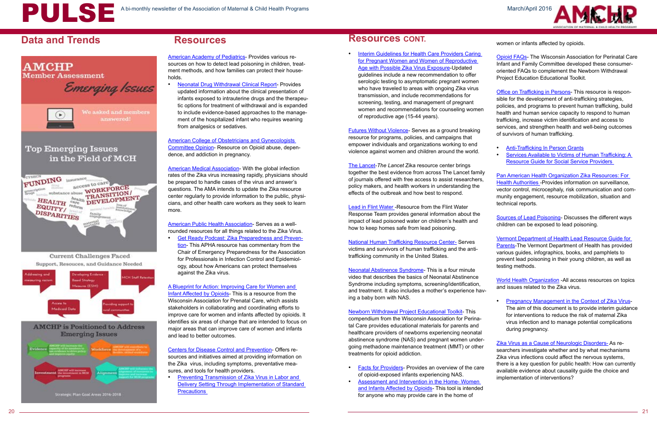### **Data and Trends Resources**

# **AMCHP Member Assessment** Emerging Issues We asked and members answered! **Top Emerging Issues** in the Field of MCH FUNDING insurance access to care prescription **DISPARITIES** Current Challenges Faced Support, Resouces, and Guidance Needed



Strategic Plan Goal Areas 2016-2018



[American Academy of Pediatrics-](https://www.aap.org/en-us/advocacy-and-policy/aap-health-initiatives/lead-exposure/Pages/default.aspx) Provides various resources on how to detect lead poisoning in children, treatment methods, and how families can protect their households.

• [Neonatal Drug Withdrawal Clinical Report-](http://pediatrics.aappublications.org/content/pediatrics/129/2/e540.full.pdf) Provides updated information about the clinical presentation of infants exposed to intrauterine drugs and the therapeutic options for treatment of withdrawal and is expanded to include evidence-based approaches to the management of the hospitalized infant who requires weaning from analgesics or sedatives.

[American Public Health Association](https://www.apha.org/topics-and-issues/communicable-disease/zika)- Serves as a wellrounded resources for all things related to the Zika Virus.

[American College of Obstetricians and Gynecologists](http://www.acog.org/-/media/Committee-Opinions/Committee-on-Health-Care-for-Underserved-Women/co524.pdf?dmc=1&ts=20141219T1238154848)  [Committee Opinion-](http://www.acog.org/-/media/Committee-Opinions/Committee-on-Health-Care-for-Underserved-Women/co524.pdf?dmc=1&ts=20141219T1238154848) Resource on Opioid abuse, dependence, and addiction in pregnancy.

**[Get Ready Podcast: Zika Preparedness and Preven](http://getreadyforflu.org/new_pg_podcast.htm)**[tion](http://getreadyforflu.org/new_pg_podcast.htm)- This APHA resource has commentary from the Chair of Emergency Preparedness for the Association for Professionals in Infection Control and Epidemiology, about how Americans can protect themselves against the Zika virus.

[American Medical Association-](http://www.ama-assn.org/ama/pub/physician-resources/public-health/zika-resource-center.page) With the global infection rates of the Zika virus increasing rapidly, physicians should be prepared to handle cases of the virus and answer's questions. The AMA intends to update the Zika resource center regularly to provide information to the public, physicians, and other health care workers as they seek to learn more.

• [Preventing Transmission of Zika Virus in Labor and](http://www.cdc.gov/mmwr/volumes/65/wr/mm6511e3.htm)  [Delivery Setting Through Implementation of Standard](http://www.cdc.gov/mmwr/volumes/65/wr/mm6511e3.htm)  **Precautions** 

[A Blueprint for Action: Improving Care for Women and](http://www.perinatalweb.org/major-initiatives/perinatal-substance-use-and-abuse/resources)  [Infant Affected by Opioids-](http://www.perinatalweb.org/major-initiatives/perinatal-substance-use-and-abuse/resources) This is a resource from the Wisconsin Association for Prenatal Care, which assists stakeholders in collaborating and coordinating efforts to improve care for women and infants affected by opioids. It identifies six areas of change that are intended to focus on major areas that can improve care of women and infants and lead to better outcomes.

[Centers for Disease Control and Prevention](http://www.cdc.gov/zika/)- Offers resources and initiatives aimed at providing information on the Zika virus, including symptoms, preventative measures, and tools for health providers.

#### **Resources CONT.**

• [Interim Guidelines for Health Care Providers Caring](http://www.cdc.gov/mmwr/volumes/65/wr/mm6505e2.htm)  [for Pregnant Women and Women of Reproductive](http://www.cdc.gov/mmwr/volumes/65/wr/mm6505e2.htm)  [Age with Possible Zika Virus Exposure](http://www.cdc.gov/mmwr/volumes/65/wr/mm6505e2.htm)-Updated guidelines include a new recommendation to offer serologic testing to asymptomatic pregnant women who have traveled to areas with ongoing Zika virus transmission, and include recommendations for screening, testing, and management of pregnant women and recommendations for counseling women of reproductive age (15-44 years).

[Office on Trafficking in Persons](http://www.acf.hhs.gov/programs/endtrafficking/about)- This resource is responsible for the development of anti-trafficking strategies, policies, and programs to prevent human trafficking, build health and human service capacity to respond to human trafficking, increase victim identification and access to services, and strengthen health and well-being outcomes of survivors of human trafficking.

[Sources of Lead Poisoning-](http://www.cdc.gov/nceh/lead/tips/sources.htm) Discusses the different ways children can be exposed to lead poisoning.

[Futures Without Violence-](https://www.futureswithoutviolence.org/?s=human+trafficking) Serves as a ground breaking resource for programs, policies, and campaigns that empower individuals and organizations working to end violence against women and children around the world.

> • [Pregnancy Management in the Context of Zika Virus-](http://www.who.int/csr/resources/publications/zika/pregnancy-management/en/)The aim of this document is to provide interim guidance for interventions to reduce the risk of maternal Zika virus infection and to manage potential complications during pregnancy.

[The Lancet](http://www.thelancet.com/campaigns/zika)-*The Lancet* Zika resource center brings together the best evidence from across The Lancet family of journals offered with free access to assist researchers, policy makers, and health workers in understanding the effects of the outbreak and how best to respond.

[Lead in Flint Water -](http://www.michigan.gov/documents/deq/LeadInWaterInfoSheetV2a_511710_7.pdf)Resource from the Flint Water Response Team provides general information about the impact of lead poisoned water on children's health and how to keep homes safe from lead poisoning.

[National Human Trafficking Resource Center-](https://traffickingresourcecenter.org/) Serves victims and survivors of human trafficking and the antitrafficking community in the United States.

[Neonatal Abstinence Syndrome](https://vimeo.com/101299947)- This is a four minute video that describes the basics of Neonatal Abstinence Syndrome including symptoms, screening/identification, and treatment. It also includes a mother's experience having a baby born with NAS.

[Newborn Withdrawal Project Educational Toolkit](http://www.perinatalweb.org/major-initiatives/perinatal-substance-use-and-abuse/resources)- This compendium from the Wisconsin Association for Perinatal Care provides educational materials for parents and healthcare providers of newborns experiencing neonatal abstinence syndrome (NAS) and pregnant women under-

- going methadone maintenance treatment (MMT) or other treatments for opioid addiction. • [Facts for Providers](http://www.perinatalweb.org/assets/cms/uploads/files/Methadone_Facts%20for%20Providers_2013_v4.pdf)- Provides an overview of the care of opioid-exposed infants experiencing NAS. [Zika Virus as a Cause of Neurologic Disorders-](http://www.nejm.org/doi/full/10.1056/NEJMp1602708?query=featured_zika&) As researchers investigate whether and by what mechanisms Zika virus infections could affect the nervous systems, there is a key question for public health: How can currently available evidence about causality guide the choice and implementation of interventions?
- [Assessment and Intervention in the Home- Women](http://www.perinatalweb.org/assets/cms/uploads/files/Opioid%20Tip%20Sheet_v4.pdf)  [and Infants Affected by Opioids](http://www.perinatalweb.org/assets/cms/uploads/files/Opioid%20Tip%20Sheet_v4.pdf)- This tool is intended for anyone who may provide care in the home of

women or infants affected by opioids.

[Opioid FAQs-](http://www.perinatalweb.org/for-parents-and-consumers/opioid-faqs) The Wisconsin Association for Perinatal Care Infant and Family Committee developed these consumeroriented FAQs to complement the Newborn Withdrawal Project Education Educational Toolkit.

- [Anti-Trafficking In Person Grants](http://www.acf.hhs.gov/programs/endtrafficking/resource/anti-trafficking-in-persons-grants)
- **Services Available to Victims of Human Trafficking: A** [Resource Guide for Social Service Providers](https://www.acf.hhs.gov/sites/default/files/orr/traffickingservices_0.pdf)

[Pan American Health Organization Zika Resources: For](http://www.paho.org/hq/index.php?option=com_content&view=article&id=11601&Itemid=41694&lang=en)  [Health Authorities](http://www.paho.org/hq/index.php?option=com_content&view=article&id=11601&Itemid=41694&lang=en) -Provides information on surveillance, vector control, microcephaly, risk communication and community engagement, resource mobilization, situation and technical reports.

[Vermont Department of Health Lead Resource Guide for](http://healthvermont.gov/enviro/lead/lead_parents.aspx)  [Parents](http://healthvermont.gov/enviro/lead/lead_parents.aspx)-The Vermont Department of Health has provided various guides, infographics, books, and pamphlets to prevent lead poisoning in their young children, as well as testing methods.

[World Health Organization](http://www.who.int/emergencies/zika-virus/en/) -All access resources on topics and issues related to the Zika virus.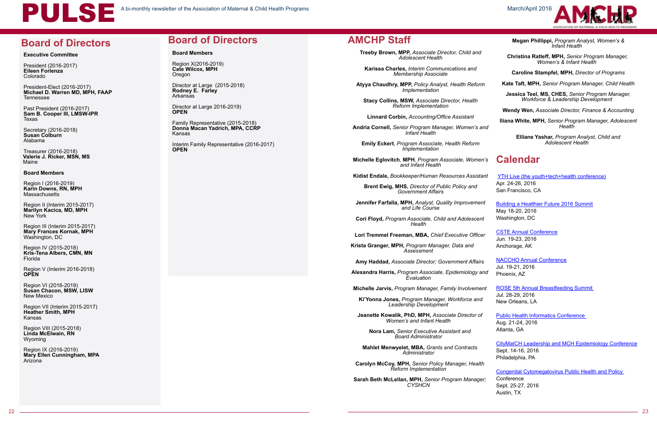

March/April 2016



#### **Executive Committee**

President (2016-2017) **Eileen Forlenza**  Colorado

President-Elect (2016-2017) **Michael D. Warren MD, MPH, FAAP** Tennessee

Region I (2016-2019) **Karin Downs, RN, MPH Massachusetts** 

Past President (2016-2017) **Sam B. Cooper III, LMSW-IPR** Texas

Secretary (2016-2018) **Susan Colburn** Alabama

Treasurer (2016-2018) **Valerie J. Ricker, MSN, MS** Maine

#### **Board Members**

Region X(2016-2019) **Cate Wilcox, MPH Oregon** 

Region II (Interim 2015-2017) **Marilyn Kacica, MD, MPH** New York

Region III (Interim 2015-2017) **Mary Frances Kornak, MPH** Washington, DC

Region IV (2015-2018) **Kris-Tena Albers, CMN, MN** Florida

Region V (Interim 2016-2018) **OPEN**

Region VI (2016-2019) **Susan Chacon, MSW, LISW** New Mexico

Region VII (Interim 2015-2017) **Heather Smith, MPH**  Kansas

Region VIII (2015-2018) **Linda McElwain, RN**  Wyoming

Region IX (2016-2019) **Mary Ellen Cunningham, MPA** Arizona

### **Board of Directors**

#### **Board Members**

Director at Large (2015-2018) **Rodney E. Farley**  Arkansas

Director at Large 2016-2019) **OPEN**

Family Representative (2015-2018) **Donna Macan Yadrich, MPA, CCRP** Kansas

Interim Family Representative (2016-2017) **OPEN**

### **Board of Directors**

**Treeby Brown, MPP,** *Associate Director, Child and Adolescent Health* 

**Karissa Charles,** *Interim Communications and Membership Associate*

**Atyya Chaudhry, MPP,** *Policy Analyst, Health Reform Implementation*

**Stacy Collins, MSW,** *Associate Director, Health Reform Implementation*

**Linnard Corbin,** *Accounting/Office Assistant* 

**Andria Cornell,** *Senior Program Manager, Women's and Infant Health* 

**Emily Eckert***, Program Associate, Health Reform Implementation* 

**Michelle Eglovitch***,* **MPH***, Program Associate, Women's and Infant Health*

**Kidist Endale,** *Bookkeeper/Human Resources Assistant*

**Brent Ewig, MHS,** *Director of Public Policy and Government Affairs*

**Jennifer Farfalla, MPH,** *Analyst, Quality Improvement and Life Course*

 **Cori Floyd,** *Program Associate, Child and Adolescent Health*

 **Lori Tremmel Freeman, MBA,** *Chief Executive Officer* 

 **Krista Granger, MPH,** *Program Manager, Data and Assessment*

 **Amy Haddad,** *Associate Director; Government Affairs* 

 **Alexandra Harris,** *Program Associate, Epidemiology and Evaluation*

**Michelle Jarvis, Program Manager, Family Involvement** 

 **Ki'Yonna Jones,** *Program Manager, Workforce and Leadership Development*

 **Jeanette Kowalik, PhD, MPH,** *Associate Director of Women's and Infant Health*

 **Nora Lam,** *Senior Executive Assistant and Board Administrator*

 **Mahlet Menwyelet, MBA,** *Grants and Contracts Administrator*

 **Carolyn McCoy, MPH,** *Senior Policy Manager, Health Reform Implementation*

 **Sarah Beth McLellan, MPH,** *Senior Program Manager; CYSHCN*

|    | Megan Phillippi, Program Analyst, Women's &<br>Infant Health                                                |
|----|-------------------------------------------------------------------------------------------------------------|
|    | Christina Ratleff, MPH, Senior Program Manager,<br>Women's & Infant Health                                  |
|    | Caroline Stampfel, MPH, Director of Programs                                                                |
|    | Kate Taft, MPH, Senior Program Manager, Child Health                                                        |
|    | Jessica Teel, MS, CHES, Senior Program Manager,<br><b>Workforce &amp; Leadership Development</b>            |
|    | <b>Wendy Wen, Associate Director, Finance &amp; Accounting</b>                                              |
| ıd | Iliana White, MPH, Senior Program Manager, Adolescent<br>Health                                             |
|    | Elliane Yashar, Program Analyst, Child and<br><b>Adolescent Health</b>                                      |
| 's | <b>Calendar</b>                                                                                             |
| 7t | <b>YTH Live (the youth+tech+health conference)</b><br>Apr. 24-26, 2016<br>San Francisco, CA                 |
|    | <b>Building a Healthier Future 2016 Summit</b><br>May 18-20, 2016<br>Washington, DC                         |
|    | <b>CSTE Annual Conference</b><br>Jun. 19-23, 2016<br>Anchorage, AK                                          |
| ıd | <b>NACCHO Annual Conference</b><br>Jul. 19-21, 2016<br>Phoenix, AZ                                          |
| ıt | <b>ROSE 5th Annual Breastfeeding Summit</b><br>Jul. 28-29, 2016<br>New Orleans, LA                          |
|    | <b>Public Health Informatics Conference</b><br>Aug. 21-24, 2016<br>Atlanta, GA                              |
|    | <b>CityMatCH Leadership and MCH Epidemiology Conference</b><br>Sept. 14-16, 2016<br>Philadelphia, PA        |
|    | <b>Congenital Cytomegalovirus Public Health and Policy</b><br>Conference<br>Sept. 25-27, 2016<br>Austin, TX |

#### **AMCHP Staff**